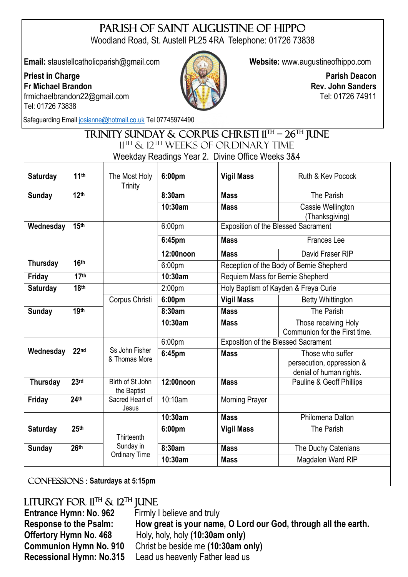# PARISH OF SAINT AUGUSTINE OF HIPPO

Woodland Road, St. Austell PL25 4RA Telephone: 01726 73838

**Email:** staustellcatholicparish@gmail.com **Website:** [www.augustineofhippo.com](about:blank)

**Priest in Charge Fr Michael Brandon**  frmichaelbrandon22@gmail.com Tel: 01726 73838



**Parish Deacon Rev. John Sanders** Tel: 01726 74911

Safeguarding Email [josianne@hotmail.co.uk](mailto:josianne@hotmail.co.uk) Tel 07745974490

# TRINITY SUNDAY & CORPUS CHRISTI 11<sup>TH</sup> – 26<sup>TH</sup> JUNE  $11<sup>TH</sup>$  &  $12<sup>TH</sup>$  WEEKS OF ORDINARY TIME

Weekday Readings Year 2. Divine Office Weeks 3&4

| <b>Saturday</b>            | 11 <sup>th</sup> | The Most Holy<br>Trinity          | 6:00pm             | <b>Vigil Mass</b>                          | Ruth & Kev Pocock                                                        |
|----------------------------|------------------|-----------------------------------|--------------------|--------------------------------------------|--------------------------------------------------------------------------|
| <b>Sunday</b>              | 12 <sup>th</sup> |                                   | 8:30am             | <b>Mass</b>                                | The Parish                                                               |
|                            |                  |                                   | 10:30am            | <b>Mass</b>                                | Cassie Wellington<br>(Thanksgiving)                                      |
| Wednesday                  | 15 <sup>th</sup> |                                   | 6:00pm             | <b>Exposition of the Blessed Sacrament</b> |                                                                          |
|                            |                  |                                   | 6:45pm             | <b>Mass</b>                                | <b>Frances Lee</b>                                                       |
|                            |                  |                                   | 12:00noon          | <b>Mass</b>                                | David Fraser RIP                                                         |
| <b>Thursday</b>            | 16 <sup>th</sup> |                                   | 6:00pm             |                                            | Reception of the Body of Bernie Shepherd                                 |
| Friday                     | 17 <sup>th</sup> |                                   | 10:30am            | Requiem Mass for Bernie Shepherd           |                                                                          |
| Saturday                   | <b>18th</b>      |                                   | 2:00 <sub>pm</sub> | Holy Baptism of Kayden & Freya Curie       |                                                                          |
|                            |                  | Corpus Christi                    | 6:00pm             | <b>Vigil Mass</b>                          | <b>Betty Whittington</b>                                                 |
| <b>Sunday</b><br>Wednesday | 19th             |                                   | 8:30am             | <b>Mass</b>                                | The Parish                                                               |
|                            |                  |                                   | 10:30am            | <b>Mass</b>                                | Those receiving Holy<br>Communion for the First time.                    |
|                            |                  |                                   | 6:00pm             | <b>Exposition of the Blessed Sacrament</b> |                                                                          |
|                            | 22 <sub>nd</sub> | Ss John Fisher<br>& Thomas More   | 6:45pm             | <b>Mass</b>                                | Those who suffer<br>persecution, oppression &<br>denial of human rights. |
| Thursday                   | 23 <sup>rd</sup> | Birth of St John<br>the Baptist   | 12:00noon          | <b>Mass</b>                                | Pauline & Geoff Phillips                                                 |
| Friday                     | 24 <sup>th</sup> | Sacred Heart of<br>Jesus          | 10:10am            | <b>Morning Prayer</b>                      |                                                                          |
|                            |                  |                                   | 10:30am            | <b>Mass</b>                                | Philomena Dalton                                                         |
| <b>Saturday</b>            | 25 <sup>th</sup> | Thirteenth                        | 6:00pm             | <b>Vigil Mass</b>                          | The Parish                                                               |
| <b>Sunday</b>              | 26th             | Sunday in<br><b>Ordinary Time</b> | 8:30am             | <b>Mass</b>                                | The Duchy Catenians                                                      |
|                            |                  |                                   | 10:30am            | <b>Mass</b>                                | Magdalen Ward RIP                                                        |

Confessions : **Saturdays at 5:15pm**

# LITURGY FOR  $11^{\text{TH}}$  &  $12^{\text{TH}}$  JUNE

**Entrance Hymn: No. 962** Firmly I believe and truly **Response to the Psalm: How great is your name, O Lord our God, through all the earth. Offertory Hymn No. 468** Holy, holy, holy **(10:30am only) Communion Hymn No. 910** Christ be beside me **(10:30am only) Recessional Hymn: No.315** Lead us heavenly Father lead us